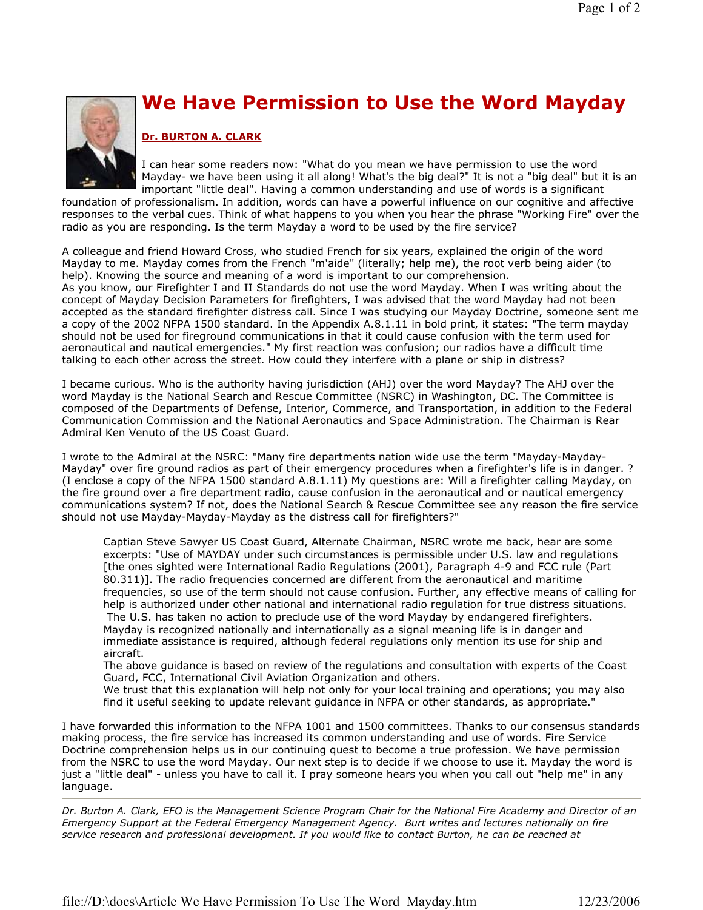

## We Have Permission to Use the Word Mayday

## Dr. BURTON A. CLARK

I can hear some readers now: "What do you mean we have permission to use the word Mayday- we have been using it all along! What's the big deal?" It is not a "big deal" but it is an important "little deal". Having a common understanding and use of words is a significant

foundation of professionalism. In addition, words can have a powerful influence on our cognitive and affective responses to the verbal cues. Think of what happens to you when you hear the phrase "Working Fire" over the radio as you are responding. Is the term Mayday a word to be used by the fire service?

A colleague and friend Howard Cross, who studied French for six years, explained the origin of the word Mayday to me. Mayday comes from the French "m'aide" (literally; help me), the root verb being aider (to help). Knowing the source and meaning of a word is important to our comprehension. As you know, our Firefighter I and II Standards do not use the word Mayday. When I was writing about the concept of Mayday Decision Parameters for firefighters, I was advised that the word Mayday had not been accepted as the standard firefighter distress call. Since I was studying our Mayday Doctrine, someone sent me a copy of the 2002 NFPA 1500 standard. In the Appendix A.8.1.11 in bold print, it states: "The term mayday should not be used for fireground communications in that it could cause confusion with the term used for aeronautical and nautical emergencies." My first reaction was confusion; our radios have a difficult time talking to each other across the street. How could they interfere with a plane or ship in distress?

I became curious. Who is the authority having jurisdiction (AHJ) over the word Mayday? The AHJ over the word Mayday is the National Search and Rescue Committee (NSRC) in Washington, DC. The Committee is composed of the Departments of Defense, Interior, Commerce, and Transportation, in addition to the Federal Communication Commission and the National Aeronautics and Space Administration. The Chairman is Rear Admiral Ken Venuto of the US Coast Guard.

I wrote to the Admiral at the NSRC: "Many fire departments nation wide use the term "Mayday-Mayday-Mayday" over fire ground radios as part of their emergency procedures when a firefighter's life is in danger. ? (I enclose a copy of the NFPA 1500 standard A.8.1.11) My questions are: Will a firefighter calling Mayday, on the fire ground over a fire department radio, cause confusion in the aeronautical and or nautical emergency communications system? If not, does the National Search & Rescue Committee see any reason the fire service should not use Mayday-Mayday-Mayday as the distress call for firefighters?"

Captian Steve Sawyer US Coast Guard, Alternate Chairman, NSRC wrote me back, hear are some excerpts: "Use of MAYDAY under such circumstances is permissible under U.S. law and regulations [the ones sighted were International Radio Regulations (2001), Paragraph 4-9 and FCC rule (Part 80.311)]. The radio frequencies concerned are different from the aeronautical and maritime frequencies, so use of the term should not cause confusion. Further, any effective means of calling for help is authorized under other national and international radio regulation for true distress situations. The U.S. has taken no action to preclude use of the word Mayday by endangered firefighters. Mayday is recognized nationally and internationally as a signal meaning life is in danger and immediate assistance is required, although federal regulations only mention its use for ship and aircraft.

The above guidance is based on review of the regulations and consultation with experts of the Coast Guard, FCC, International Civil Aviation Organization and others.

We trust that this explanation will help not only for your local training and operations; you may also find it useful seeking to update relevant guidance in NFPA or other standards, as appropriate."

I have forwarded this information to the NFPA 1001 and 1500 committees. Thanks to our consensus standards making process, the fire service has increased its common understanding and use of words. Fire Service Doctrine comprehension helps us in our continuing quest to become a true profession. We have permission from the NSRC to use the word Mayday. Our next step is to decide if we choose to use it. Mayday the word is just a "little deal" - unless you have to call it. I pray someone hears you when you call out "help me" in any language.

Dr. Burton A. Clark, EFO is the Management Science Program Chair for the National Fire Academy and Director of an Emergency Support at the Federal Emergency Management Agency. Burt writes and lectures nationally on fire service research and professional development. If you would like to contact Burton, he can be reached at